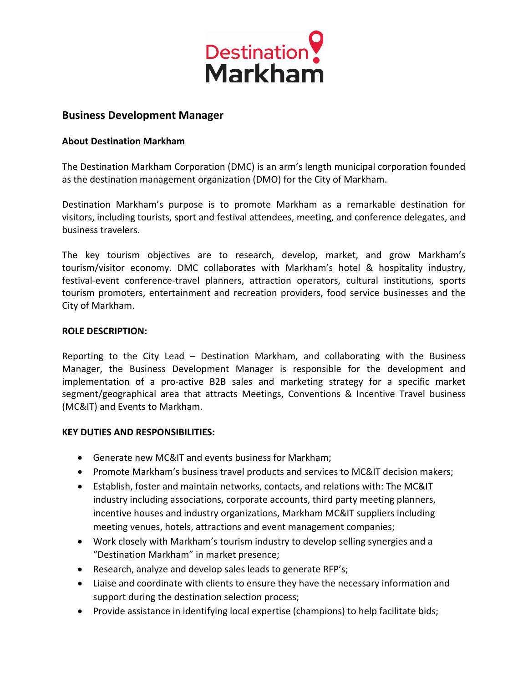

# **Business Development Manager**

## **About Destination Markham**

The Destination Markham Corporation (DMC) is an arm's length municipal corporation founded as the destination management organization (DMO) for the City of Markham.

Destination Markham's purpose is to promote Markham as a remarkable destination for visitors, including tourists, sport and festival attendees, meeting, and conference delegates, and business travelers.

The key tourism objectives are to research, develop, market, and grow Markham's tourism/visitor economy. DMC collaborates with Markham's hotel & hospitality industry, festival-event conference-travel planners, attraction operators, cultural institutions, sports tourism promoters, entertainment and recreation providers, food service businesses and the City of Markham.

#### **ROLE DESCRIPTION:**

Reporting to the City Lead – Destination Markham, and collaborating with the Business Manager, the Business Development Manager is responsible for the development and implementation of a pro-active B2B sales and marketing strategy for a specific market segment/geographical area that attracts Meetings, Conventions & Incentive Travel business (MC&IT) and Events to Markham.

## **KEY DUTIES AND RESPONSIBILITIES:**

- Generate new MC&IT and events business for Markham;
- Promote Markham's business travel products and services to MC&IT decision makers;
- Establish, foster and maintain networks, contacts, and relations with: The MC&IT industry including associations, corporate accounts, third party meeting planners, incentive houses and industry organizations, Markham MC&IT suppliers including meeting venues, hotels, attractions and event management companies;
- Work closely with Markham's tourism industry to develop selling synergies and a "Destination Markham" in market presence;
- Research, analyze and develop sales leads to generate RFP's;
- Liaise and coordinate with clients to ensure they have the necessary information and support during the destination selection process;
- Provide assistance in identifying local expertise (champions) to help facilitate bids;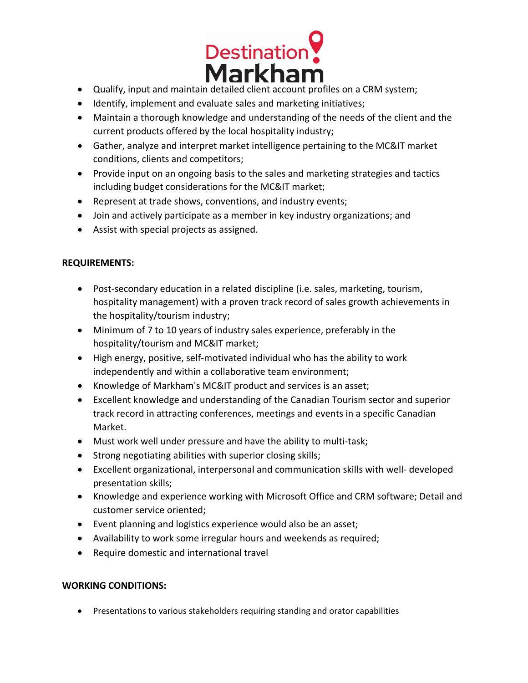

- Qualify, input and maintain detailed client account profiles on a CRM system;
- Identify, implement and evaluate sales and marketing initiatives;
- Maintain a thorough knowledge and understanding of the needs of the client and the current products offered by the local hospitality industry;
- Gather, analyze and interpret market intelligence pertaining to the MC&IT market conditions, clients and competitors;
- Provide input on an ongoing basis to the sales and marketing strategies and tactics including budget considerations for the MC&IT market;
- Represent at trade shows, conventions, and industry events;
- Join and actively participate as a member in key industry organizations; and
- Assist with special projects as assigned.

## **REQUIREMENTS:**

- Post-secondary education in a related discipline (i.e. sales, marketing, tourism, hospitality management) with a proven track record of sales growth achievements in the hospitality/tourism industry;
- Minimum of 7 to 10 years of industry sales experience, preferably in the hospitality/tourism and MC&IT market;
- High energy, positive, self-motivated individual who has the ability to work independently and within a collaborative team environment;
- Knowledge of Markham's MC&IT product and services is an asset;
- Excellent knowledge and understanding of the Canadian Tourism sector and superior track record in attracting conferences, meetings and events in a specific Canadian Market.
- Must work well under pressure and have the ability to multi-task;
- Strong negotiating abilities with superior closing skills;
- Excellent organizational, interpersonal and communication skills with well- developed presentation skills;
- Knowledge and experience working with Microsoft Office and CRM software; Detail and customer service oriented;
- Event planning and logistics experience would also be an asset;
- Availability to work some irregular hours and weekends as required;
- Require domestic and international travel

# **WORKING CONDITIONS:**

• Presentations to various stakeholders requiring standing and orator capabilities